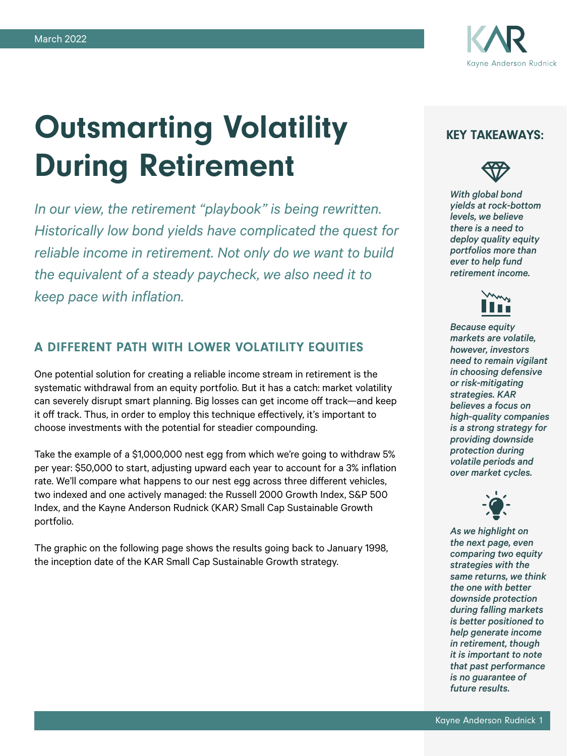

# Outsmarting Volatility During Retirement

*In our view, the retirement "playbook" is being rewritten. Historically low bond yields have complicated the quest for reliable income in retirement. Not only do we want to build the equivalent of a steady paycheck, we also need it to keep pace with inflation.*

# A DIFFERENT PATH WITH LOWER VOLATILITY EQUITIES

One potential solution for creating a reliable income stream in retirement is the systematic withdrawal from an equity portfolio. But it has a catch: market volatility can severely disrupt smart planning. Big losses can get income off track—and keep it off track. Thus, in order to employ this technique effectively, it's important to choose investments with the potential for steadier compounding.

Take the example of a \$1,000,000 nest egg from which we're going to withdraw 5% per year: \$50,000 to start, adjusting upward each year to account for a 3% inflation rate. We'll compare what happens to our nest egg across three different vehicles, two indexed and one actively managed: the Russell 2000 Growth Index, S&P 500 Index, and the Kayne Anderson Rudnick (KAR) Small Cap Sustainable Growth portfolio.

The graphic on the following page shows the results going back to January 1998, the inception date of the KAR Small Cap Sustainable Growth strategy.

## KEY TAKEAWAYS:



*With global bond yields at rock-bottom levels, we believe there is a need to deploy quality equity portfolios more than ever to help fund retirement income.*



*Because equity markets are volatile, however, investors need to remain vigilant in choosing defensive or risk-mitigating strategies. KAR believes a focus on high-quality companies is a strong strategy for providing downside protection during volatile periods and over market cycles.*



*As we highlight on the next page, even comparing two equity strategies with the same returns, we think the one with better downside protection during falling markets is better positioned to help generate income in retirement, though it is important to note that past performance is no guarantee of future results.*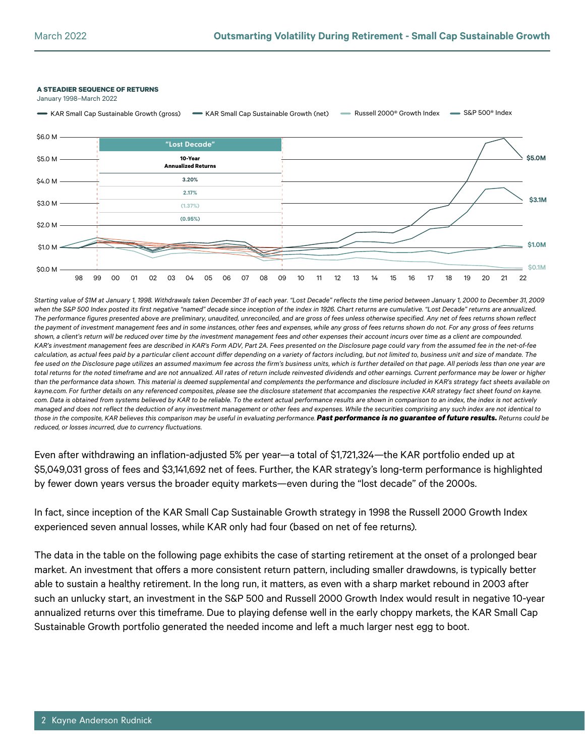#### **A STEADIER SEQUENCE OF RETURNS**

January 1998–March 2022



*Starting value of \$1M at January 1, 1998. Withdrawals taken December 31 of each year. "Lost Decade" reflects the time period between January 1, 2000 to December 31, 2009 when the S&P 500 Index posted its first negative "named" decade since inception of the index in 1926. Chart returns are cumulative. "Lost Decade" returns are annualized. The performance figures presented above are preliminary, unaudited, unreconciled, and are gross of fees unless otherwise specified. Any net of fees returns shown reflect the payment of investment management fees and in some instances, other fees and expenses, while any gross of fees returns shown do not. For any gross of fees returns shown, a client's return will be reduced over time by the investment management fees and other expenses their account incurs over time as a client are compounded. KAR's investment management fees are described in KAR's Form ADV, Part 2A. Fees presented on the Disclosure page could vary from the assumed fee in the net-of-fee calculation, as actual fees paid by a particular client account differ depending on a variety of factors including, but not limited to, business unit and size of mandate. The fee used on the Disclosure page utilizes an assumed maximum fee across the firm's business units, which is further detailed on that page. All periods less than one year are*  total returns for the noted timeframe and are not annualized. All rates of return include reinvested dividends and other earnings. Current performance may be lower or higher *than the performance data shown. This material is deemed supplemental and complements the performance and disclosure included in KAR's strategy fact sheets available on kayne.com. For further details on any referenced composites, please see the disclosure statement that accompanies the respective KAR strategy fact sheet found on kayne. com. Data is obtained from systems believed by KAR to be reliable. To the extent actual performance results are shown in comparison to an index, the index is not actively managed and does not reflect the deduction of any investment management or other fees and expenses. While the securities comprising any such index are not identical to*  those in the composite, KAR believes this comparison may be useful in evaluating performance. Past performance is no guarantee of future results. Returns could be *reduced, or losses incurred, due to currency fluctuations.*

Even after withdrawing an inflation-adjusted 5% per year—a total of \$1,721,324—the KAR portfolio ended up at \$5,049,031 gross of fees and \$3,141,692 net of fees. Further, the KAR strategy's long-term performance is highlighted by fewer down years versus the broader equity markets—even during the "lost decade" of the 2000s.

In fact, since inception of the KAR Small Cap Sustainable Growth strategy in 1998 the Russell 2000 Growth Index experienced seven annual losses, while KAR only had four (based on net of fee returns).

The data in the table on the following page exhibits the case of starting retirement at the onset of a prolonged bear market. An investment that offers a more consistent return pattern, including smaller drawdowns, is typically better able to sustain a healthy retirement. In the long run, it matters, as even with a sharp market rebound in 2003 after such an unlucky start, an investment in the S&P 500 and Russell 2000 Growth Index would result in negative 10-year annualized returns over this timeframe. Due to playing defense well in the early choppy markets, the KAR Small Cap Sustainable Growth portfolio generated the needed income and left a much larger nest egg to boot.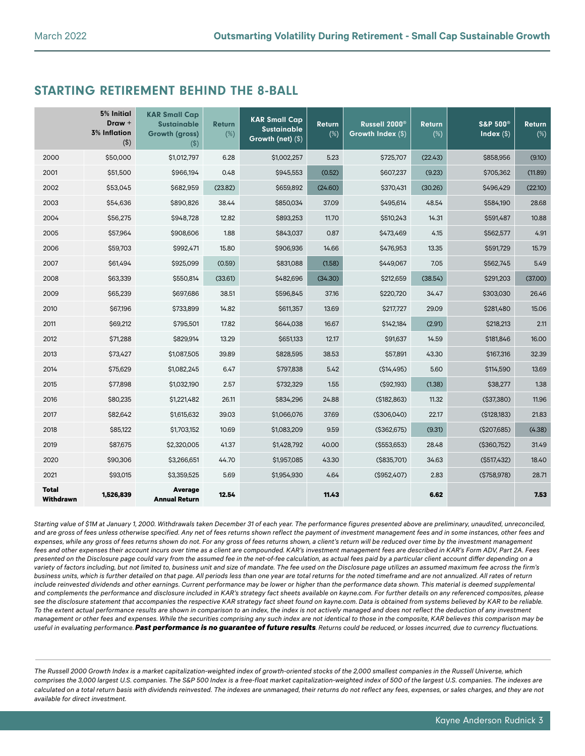## STARTING RETIREMENT BEHIND THE 8-BALL

|                           | 5% Initial<br>Draw +<br><b>3% Inflation</b><br>$($ \$) | <b>KAR Small Cap</b><br><b>Sustainable</b><br><b>Growth (gross)</b><br>$($ \$) | <b>Return</b><br>$(\%)$ | <b>KAR Small Cap</b><br><b>Sustainable</b><br>Growth (net) (\$) | <b>Return</b><br>$(\%)$ | Russell 2000 <sup>®</sup><br>Growth Index (\$) | <b>Return</b><br>$(\%)$ | <b>S&amp;P 500®</b><br>Index $(\$)$ | <b>Return</b><br>$(\%)$ |
|---------------------------|--------------------------------------------------------|--------------------------------------------------------------------------------|-------------------------|-----------------------------------------------------------------|-------------------------|------------------------------------------------|-------------------------|-------------------------------------|-------------------------|
| 2000                      | \$50,000                                               | \$1,012,797                                                                    | 6.28                    | \$1,002,257                                                     | 5.23                    | \$725,707                                      | (22.43)                 | \$858,956                           | (9.10)                  |
| 2001                      | \$51,500                                               | \$966,194                                                                      | 0.48                    | \$945,553                                                       | (0.52)                  | \$607,237                                      | (9.23)                  | \$705,362                           | (11.89)                 |
| 2002                      | \$53,045                                               | \$682,959                                                                      | (23.82)                 | \$659,892                                                       | (24.60)                 | \$370,431                                      | (30.26)                 | \$496,429                           | (22.10)                 |
| 2003                      | \$54,636                                               | \$890,826                                                                      | 38.44                   | \$850,034                                                       | 37.09                   | \$495,614                                      | 48.54                   | \$584,190                           | 28.68                   |
| 2004                      | \$56,275                                               | \$948,728                                                                      | 12.82                   | \$893,253                                                       | 11.70                   | \$510,243                                      | 14.31                   | \$591,487                           | 10.88                   |
| 2005                      | \$57,964                                               | \$908,606                                                                      | 1.88                    | \$843,037                                                       | 0.87                    | \$473,469                                      | 4.15                    | \$562,577                           | 4.91                    |
| 2006                      | \$59,703                                               | \$992,471                                                                      | 15.80                   | \$906,936                                                       | 14.66                   | \$476,953                                      | 13.35                   | \$591,729                           | 15.79                   |
| 2007                      | \$61,494                                               | \$925,099                                                                      | (0.59)                  | \$831,088                                                       | (1.58)                  | \$449,067                                      | 7.05                    | \$562,745                           | 5.49                    |
| 2008                      | \$63,339                                               | \$550,814                                                                      | (33.61)                 | \$482,696                                                       | (34.30)                 | \$212,659                                      | (38.54)                 | \$291,203                           | (37.00)                 |
| 2009                      | \$65,239                                               | \$697,686                                                                      | 38.51                   | \$596,845                                                       | 37.16                   | \$220,720                                      | 34.47                   | \$303,030                           | 26.46                   |
| 2010                      | \$67,196                                               | \$733,899                                                                      | 14.82                   | \$611,357                                                       | 13.69                   | \$217,727                                      | 29.09                   | \$281,480                           | 15.06                   |
| 2011                      | \$69,212                                               | \$795,501                                                                      | 17.82                   | \$644,038                                                       | 16.67                   | \$142,184                                      | (2.91)                  | \$218,213                           | 2.11                    |
| 2012                      | \$71,288                                               | \$829,914                                                                      | 13.29                   | \$651,133                                                       | 12.17                   | \$91,637                                       | 14.59                   | \$181,846                           | 16.00                   |
| 2013                      | \$73,427                                               | \$1,087,505                                                                    | 39.89                   | \$828,595                                                       | 38.53                   | \$57,891                                       | 43.30                   | \$167,316                           | 32.39                   |
| 2014                      | \$75,629                                               | \$1,082,245                                                                    | 6.47                    | \$797,838                                                       | 5.42                    | (\$14,495)                                     | 5.60                    | \$114,590                           | 13.69                   |
| 2015                      | \$77,898                                               | \$1,032,190                                                                    | 2.57                    | \$732,329                                                       | 1.55                    | ( \$92,193)                                    | (1.38)                  | \$38,277                            | 1.38                    |
| 2016                      | \$80,235                                               | \$1,221,482                                                                    | 26.11                   | \$834,296                                                       | 24.88                   | ( \$182, 863)                                  | 11.32                   | ( \$37,380)                         | 11.96                   |
| 2017                      | \$82,642                                               | \$1,615,632                                                                    | 39.03                   | \$1,066,076                                                     | 37.69                   | ( \$306,040)                                   | 22.17                   | ( \$128,183)                        | 21.83                   |
| 2018                      | \$85,122                                               | \$1,703,152                                                                    | 10.69                   | \$1,083,209                                                     | 9.59                    | ( \$362, 675)                                  | (9.31)                  | ( \$207, 685)                       | (4.38)                  |
| 2019                      | \$87,675                                               | \$2,320,005                                                                    | 41.37                   | \$1,428,792                                                     | 40.00                   | ( \$553, 653)                                  | 28.48                   | ( \$360, 752)                       | 31.49                   |
| 2020                      | \$90,306                                               | \$3,266,651                                                                    | 44.70                   | \$1,957,085                                                     | 43.30                   | (\$835,701)                                    | 34.63                   | ( \$517,432)                        | 18.40                   |
| 2021                      | \$93,015                                               | \$3,359,525                                                                    | 5.69                    | \$1,954,930                                                     | 4.64                    | ( \$952,407)                                   | 2.83                    | (\$758,978)                         | 28.71                   |
| <b>Total</b><br>Withdrawn | 1,526,839                                              | <b>Average</b><br><b>Annual Return</b>                                         | 12.54                   |                                                                 | 11.43                   |                                                | 6.62                    |                                     | 7.53                    |

*Starting value of \$1M at January 1, 2000. Withdrawals taken December 31 of each year. The performance figures presented above are preliminary, unaudited, unreconciled,*  and are gross of fees unless otherwise specified. Any net of fees returns shown reflect the payment of investment management fees and in some instances, other fees and *expenses, while any gross of fees returns shown do not. For any gross of fees returns shown, a client's return will be reduced over time by the investment management*  fees and other expenses their account incurs over time as a client are compounded. KAR's investment management fees are described in KAR's Form ADV, Part 2A. Fees *presented on the Disclosure page could vary from the assumed fee in the net-of-fee calculation, as actual fees paid by a particular client account differ depending on a variety of factors including, but not limited to, business unit and size of mandate. The fee used on the Disclosure page utilizes an assumed maximum fee across the firm's business units, which is further detailed on that page. All periods less than one year are total returns for the noted timeframe and are not annualized. All rates of return*  include reinvested dividends and other earnings. Current performance may be lower or higher than the performance data shown. This material is deemed supplemental *and complements the performance and disclosure included in KAR's strategy fact sheets available on kayne.com. For further details on any referenced composites, please see the disclosure statement that accompanies the respective KAR strategy fact sheet found on kayne.com. Data is obtained from systems believed by KAR to be reliable.*  To the extent actual performance results are shown in comparison to an index, the index is not actively managed and does not reflect the deduction of any investment *management or other fees and expenses. While the securities comprising any such index are not identical to those in the composite, KAR believes this comparison may be useful in evaluating performance.Past performance is no guarantee of future results. Returns could be reduced, or losses incurred, due to currency fluctuations.*

*The Russell 2000 Growth Index is a market capitalization-weighted index of growth-oriented stocks of the 2,000 smallest companies in the Russell Universe, which comprises the 3,000 largest U.S. companies. The S&P 500 Index is a free-float market capitalization-weighted index of 500 of the largest U.S. companies. The indexes are calculated on a total return basis with dividends reinvested. The indexes are unmanaged, their returns do not reflect any fees, expenses, or sales charges, and they are not available for direct investment.*